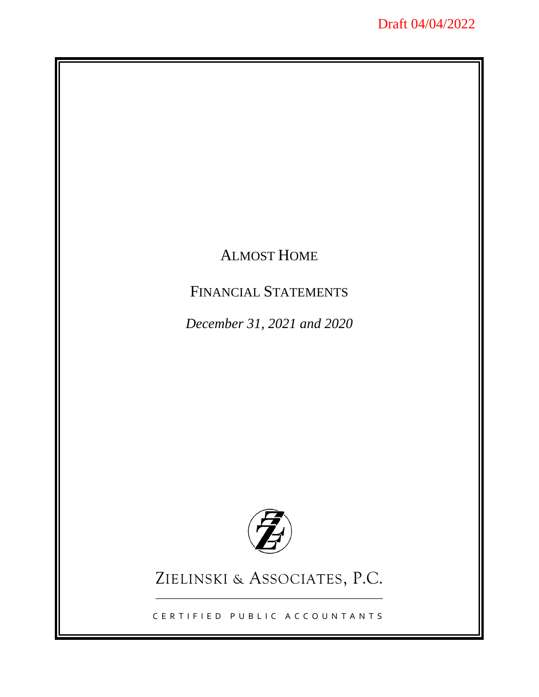# FINANCIAL STATEMENTS

*December 31, 2021 and 2020*



# ZIELINSKI & ASSOCIATES, P.C.

\_\_\_\_\_\_\_\_\_\_\_\_\_\_\_\_\_\_\_\_\_\_\_\_\_\_\_\_\_\_\_\_\_\_\_\_\_\_\_\_\_\_\_

CER TIFIED PUBLIC ACCOUNTANTS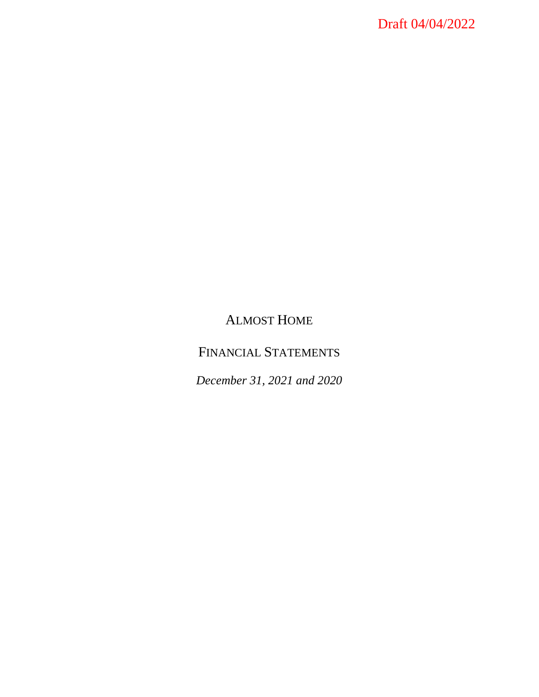# FINANCIAL STATEMENTS

*December 31, 2021 and 2020*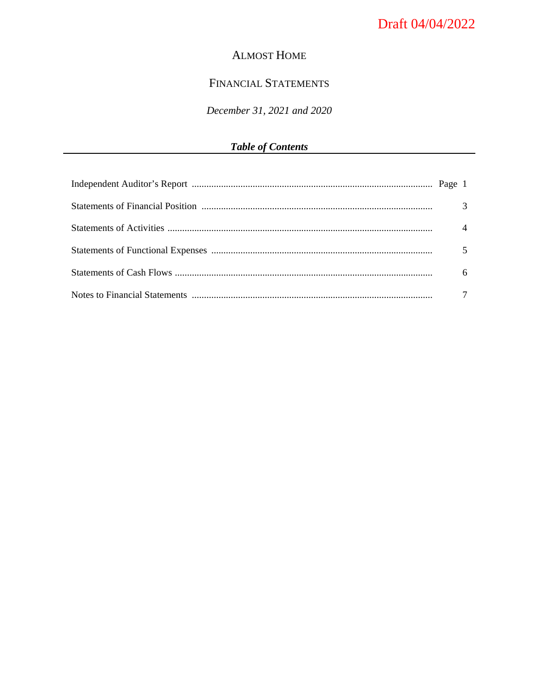# FINANCIAL STATEMENTS

December 31, 2021 and 2020

# **Table of Contents**

|  | $\overline{4}$ |
|--|----------------|
|  |                |
|  | 6              |
|  |                |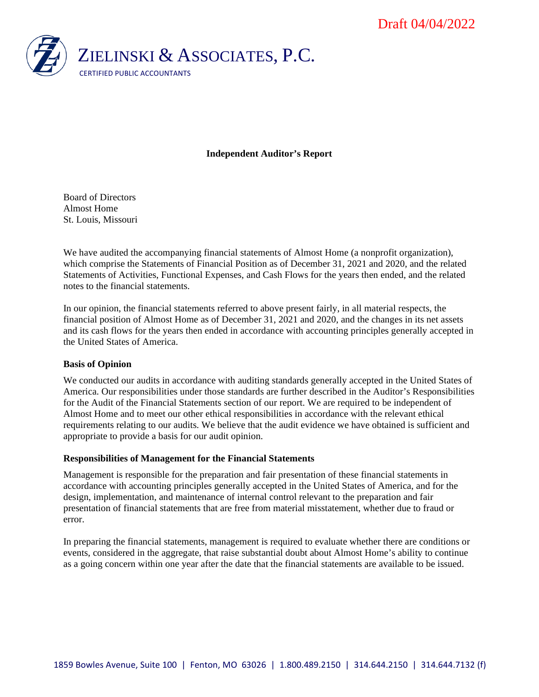

#### **Independent Auditor's Report**

Board of Directors Almost Home St. Louis, Missouri

We have audited the accompanying financial statements of Almost Home (a nonprofit organization), which comprise the Statements of Financial Position as of December 31, 2021 and 2020, and the related Statements of Activities, Functional Expenses, and Cash Flows for the years then ended, and the related notes to the financial statements.

In our opinion, the financial statements referred to above present fairly, in all material respects, the financial position of Almost Home as of December 31, 2021 and 2020, and the changes in its net assets and its cash flows for the years then ended in accordance with accounting principles generally accepted in the United States of America.

#### **Basis of Opinion**

We conducted our audits in accordance with auditing standards generally accepted in the United States of America. Our responsibilities under those standards are further described in the Auditor's Responsibilities for the Audit of the Financial Statements section of our report. We are required to be independent of Almost Home and to meet our other ethical responsibilities in accordance with the relevant ethical requirements relating to our audits. We believe that the audit evidence we have obtained is sufficient and appropriate to provide a basis for our audit opinion.

#### **Responsibilities of Management for the Financial Statements**

Management is responsible for the preparation and fair presentation of these financial statements in accordance with accounting principles generally accepted in the United States of America, and for the design, implementation, and maintenance of internal control relevant to the preparation and fair presentation of financial statements that are free from material misstatement, whether due to fraud or error.

In preparing the financial statements, management is required to evaluate whether there are conditions or events, considered in the aggregate, that raise substantial doubt about Almost Home's ability to continue as a going concern within one year after the date that the financial statements are available to be issued.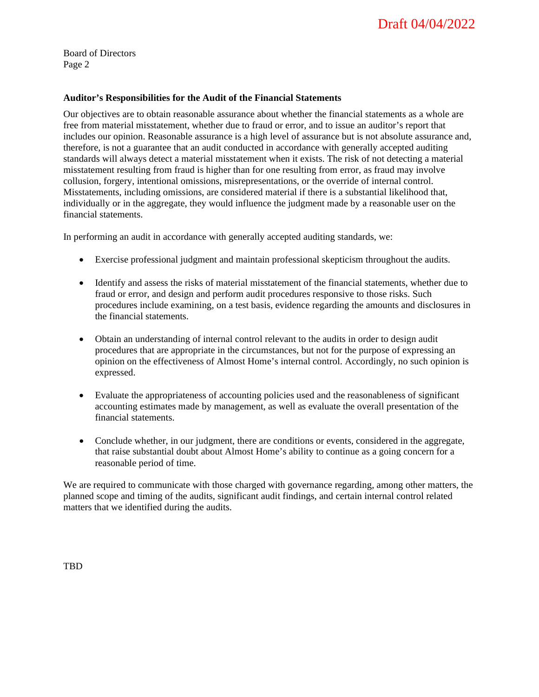Board of Directors Page 2

#### **Auditor's Responsibilities for the Audit of the Financial Statements**

Our objectives are to obtain reasonable assurance about whether the financial statements as a whole are free from material misstatement, whether due to fraud or error, and to issue an auditor's report that includes our opinion. Reasonable assurance is a high level of assurance but is not absolute assurance and, therefore, is not a guarantee that an audit conducted in accordance with generally accepted auditing standards will always detect a material misstatement when it exists. The risk of not detecting a material misstatement resulting from fraud is higher than for one resulting from error, as fraud may involve collusion, forgery, intentional omissions, misrepresentations, or the override of internal control. Misstatements, including omissions, are considered material if there is a substantial likelihood that, individually or in the aggregate, they would influence the judgment made by a reasonable user on the financial statements.

In performing an audit in accordance with generally accepted auditing standards, we:

- Exercise professional judgment and maintain professional skepticism throughout the audits.
- Identify and assess the risks of material misstatement of the financial statements, whether due to fraud or error, and design and perform audit procedures responsive to those risks. Such procedures include examining, on a test basis, evidence regarding the amounts and disclosures in the financial statements.
- Obtain an understanding of internal control relevant to the audits in order to design audit procedures that are appropriate in the circumstances, but not for the purpose of expressing an opinion on the effectiveness of Almost Home's internal control. Accordingly, no such opinion is expressed.
- Evaluate the appropriateness of accounting policies used and the reasonableness of significant accounting estimates made by management, as well as evaluate the overall presentation of the financial statements.
- Conclude whether, in our judgment, there are conditions or events, considered in the aggregate, that raise substantial doubt about Almost Home's ability to continue as a going concern for a reasonable period of time.

We are required to communicate with those charged with governance regarding, among other matters, the planned scope and timing of the audits, significant audit findings, and certain internal control related matters that we identified during the audits.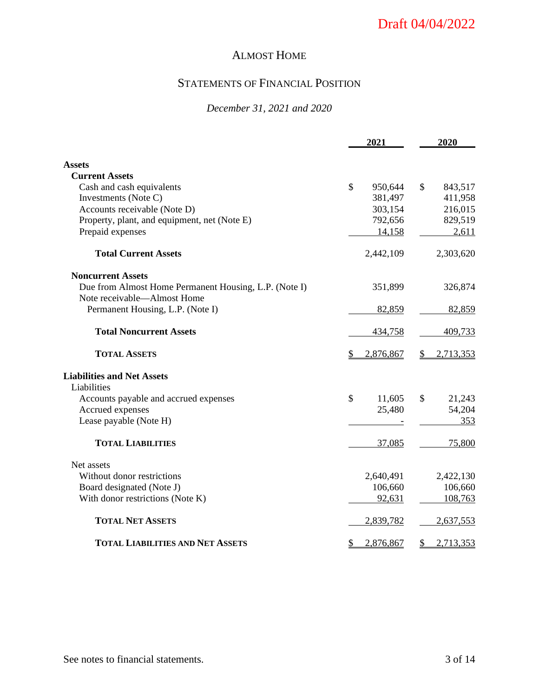# Draft 04/04/2022

# ALMOST HOME

# STATEMENTS OF FINANCIAL POSITION

## *December 31, 2021 and 2020*

|                                                       | 2021            | 2020            |
|-------------------------------------------------------|-----------------|-----------------|
| Assets                                                |                 |                 |
| <b>Current Assets</b>                                 |                 |                 |
| Cash and cash equivalents                             | \$<br>950,644   | \$<br>843,517   |
| Investments (Note C)                                  | 381,497         | 411,958         |
| Accounts receivable (Note D)                          | 303,154         | 216,015         |
| Property, plant, and equipment, net (Note E)          | 792,656         | 829,519         |
| Prepaid expenses                                      | 14,158          | 2,611           |
| <b>Total Current Assets</b>                           | 2,442,109       | 2,303,620       |
| <b>Noncurrent Assets</b>                              |                 |                 |
| Due from Almost Home Permanent Housing, L.P. (Note I) | 351,899         | 326,874         |
| Note receivable-Almost Home                           |                 |                 |
| Permanent Housing, L.P. (Note I)                      | 82,859          | 82,859          |
| <b>Total Noncurrent Assets</b>                        | 434,758         | 409,733         |
| <b>TOTAL ASSETS</b>                                   | 2,876,867       | 2,713,353       |
| <b>Liabilities and Net Assets</b>                     |                 |                 |
| Liabilities                                           |                 |                 |
| Accounts payable and accrued expenses                 | \$<br>11,605    | \$<br>21,243    |
| Accrued expenses                                      | 25,480          | 54,204          |
| Lease payable (Note H)                                |                 | 353             |
| <b>TOTAL LIABILITIES</b>                              | 37,085          | 75,800          |
| Net assets                                            |                 |                 |
| Without donor restrictions                            | 2,640,491       | 2,422,130       |
| Board designated (Note J)                             | 106,660         | 106,660         |
| With donor restrictions (Note K)                      | 92,631          | 108,763         |
| <b>TOTAL NET ASSETS</b>                               | 2,839,782       | 2,637,553       |
| <b>TOTAL LIABILITIES AND NET ASSETS</b>               | 2,876,867<br>\$ | 2,713,353<br>\$ |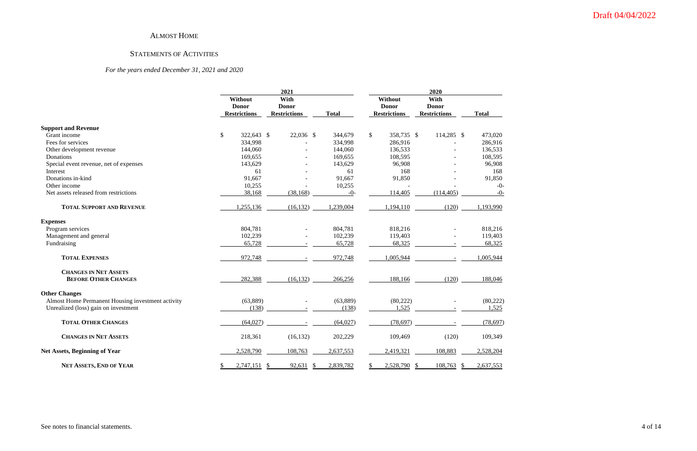# STATEMENTS OF ACTIVITIES

# *For the years ended December 31, 2021 and 2020*

|                                                             |                                                | 2021                                        |                            |                                                | 2020                                        |              |  |  |  |
|-------------------------------------------------------------|------------------------------------------------|---------------------------------------------|----------------------------|------------------------------------------------|---------------------------------------------|--------------|--|--|--|
|                                                             | Without<br><b>Donor</b><br><b>Restrictions</b> | With<br><b>Donor</b><br><b>Restrictions</b> | <b>Total</b>               | Without<br><b>Donor</b><br><b>Restrictions</b> | With<br><b>Donor</b><br><b>Restrictions</b> | <b>Total</b> |  |  |  |
| <b>Support and Revenue</b>                                  |                                                |                                             |                            |                                                |                                             |              |  |  |  |
| Grant income                                                | \$<br>322,643 \$                               | 22,036 \$                                   | 344,679                    | $\mathsf{\$}$<br>358,735 \$                    | 114,285 \$                                  | 473,020      |  |  |  |
| Fees for services                                           | 334,998                                        |                                             | 334,998                    | 286,916                                        |                                             | 286,916      |  |  |  |
| Other development revenue                                   | 144,060                                        |                                             | 144,060                    | 136,533                                        |                                             | 136,533      |  |  |  |
| Donations                                                   | 169,655                                        |                                             | 169,655                    | 108,595                                        |                                             | 108,595      |  |  |  |
| Special event revenue, net of expenses                      | 143,629                                        |                                             | 143,629                    | 96,908                                         |                                             | 96,908       |  |  |  |
| Interest                                                    | 61                                             |                                             | 61                         | 168                                            |                                             | 168          |  |  |  |
| Donations in-kind                                           | 91,667                                         |                                             | 91,667                     | 91,850                                         |                                             | 91,850       |  |  |  |
| Other income                                                | 10,255                                         |                                             | 10,255                     |                                                |                                             | $-0-$        |  |  |  |
| Net assets released from restrictions                       | 38,168                                         | (38, 168)                                   | $-0-$                      | 114,405                                        | (114, 405)                                  | $-0-$        |  |  |  |
| <b>TOTAL SUPPORT AND REVENUE</b>                            | 1,255,136                                      | (16, 132)                                   | 1,239,004                  | 1,194,110                                      | (120)                                       | 1,193,990    |  |  |  |
| <b>Expenses</b>                                             |                                                |                                             |                            |                                                |                                             |              |  |  |  |
| Program services                                            | 804,781                                        |                                             | 804,781                    | 818,216                                        |                                             | 818,216      |  |  |  |
| Management and general                                      | 102,239                                        |                                             | 102,239                    | 119,403                                        |                                             | 119,403      |  |  |  |
| Fundraising                                                 | 65,728                                         |                                             | 65,728                     | 68,325                                         |                                             | 68,325       |  |  |  |
| <b>TOTAL EXPENSES</b>                                       | 972,748                                        |                                             | 972,748                    | 1,005,944                                      |                                             | 1,005,944    |  |  |  |
| <b>CHANGES IN NET ASSETS</b><br><b>BEFORE OTHER CHANGES</b> | 282,388                                        | (16, 132)                                   | 266,256                    | 188,166                                        | (120)                                       | 188,046      |  |  |  |
| <b>Other Changes</b>                                        |                                                |                                             |                            |                                                |                                             |              |  |  |  |
| Almost Home Permanent Housing investment activity           | (63,889)                                       |                                             | (63,889)                   | (80, 222)                                      |                                             | (80, 222)    |  |  |  |
| Unrealized (loss) gain on investment                        | (138)                                          |                                             | (138)                      | 1,525                                          |                                             | 1,525        |  |  |  |
| <b>TOTAL OTHER CHANGES</b>                                  | (64, 027)                                      |                                             | (64, 027)                  | (78, 697)                                      |                                             | (78, 697)    |  |  |  |
| <b>CHANGES IN NET ASSETS</b>                                | 218,361                                        | (16, 132)                                   | 202,229                    | 109,469                                        | (120)                                       | 109,349      |  |  |  |
| <b>Net Assets, Beginning of Year</b>                        | 2,528,790                                      | 108,763                                     | 2,637,553                  | 2,419,321                                      | 108,883                                     | 2,528,204    |  |  |  |
| <b>NET ASSETS, END OF YEAR</b>                              | 2,747,151                                      | 92,631<br><sup>\$</sup>                     | 2,839,782<br>$\mathcal{S}$ | 2,528,790                                      | 108,763<br>$\mathcal{S}$                    | 2,637,553    |  |  |  |

# Draft 04/04/2022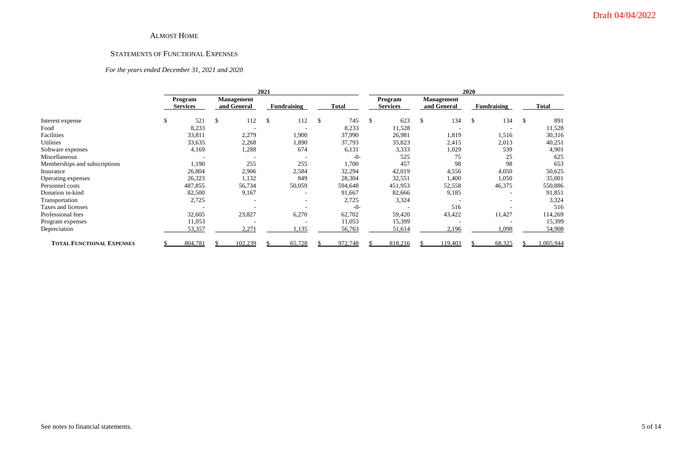# STATEMENTS OF FUNCTIONAL EXPENSES

# *For the years ended December 31, 2021 and 2020*

|                                  | 2021 |                            |               |                                  |              |                    |                         | 2020    |               |                            |                                  |               |                          |              |              |
|----------------------------------|------|----------------------------|---------------|----------------------------------|--------------|--------------------|-------------------------|---------|---------------|----------------------------|----------------------------------|---------------|--------------------------|--------------|--------------|
|                                  |      | Program<br><b>Services</b> |               | <b>Management</b><br>and General |              | <b>Fundraising</b> |                         | Total   |               | Program<br><b>Services</b> | <b>Management</b><br>and General |               | <b>Fundraising</b>       |              | <b>Total</b> |
| Interest expense                 |      | 521                        | $\mathcal{S}$ | 112                              | $\mathbb{S}$ | 112                | $\sqrt[6]{\frac{1}{2}}$ | 745     | $\mathcal{S}$ | 623                        | \$<br>134                        | $\frac{1}{2}$ | 134                      | $\mathbb{S}$ | 891          |
| Food                             |      | 8,233                      |               |                                  |              |                    |                         | 8,233   |               | 11,528                     |                                  |               |                          |              | 11,528       |
| Facilities                       |      | 33,811                     |               | 2,279                            |              | 1,900              |                         | 37,990  |               | 26,981                     | 1,819                            |               | 1,516                    |              | 30,316       |
| <b>Utilities</b>                 |      | 33,635                     |               | 2,268                            |              | 1,890              |                         | 37,793  |               | 35,823                     | 2,415                            |               | 2,013                    |              | 40,251       |
| Software expenses                |      | 4,169                      |               | 1,288                            |              | 674                |                         | 6,131   |               | 3,333                      | 1,029                            |               | 539                      |              | 4,901        |
| Miscellaneous                    |      |                            |               |                                  |              |                    |                         | $-0-$   |               | 525                        | 75                               |               | 25                       |              | 625          |
| Memberships and subscriptions    |      | 1,190                      |               | 255                              |              | 255                |                         | 1,700   |               | 457                        | 98                               |               | 98                       |              | 653          |
| Insurance                        |      | 26,804                     |               | 2,906                            |              | 2,584              |                         | 32,294  |               | 42,019                     | 4,556                            |               | 4,050                    |              | 50,625       |
| Operating expenses               |      | 26,323                     |               | 1,132                            |              | 849                |                         | 28,304  |               | 32,551                     | 1,400                            |               | 1,050                    |              | 35,001       |
| Personnel costs                  |      | 487,855                    |               | 56,734                           |              | 50,059             |                         | 594,648 |               | 451,953                    | 52,558                           |               | 46,375                   |              | 550,886      |
| Donation in-kind                 |      | 82,500                     |               | 9,167                            |              |                    |                         | 91,667  |               | 82,666                     | 9,185                            |               | $\overline{\phantom{a}}$ |              | 91,851       |
| Transportation                   |      | 2,725                      |               |                                  |              |                    |                         | 2,725   |               | 3,324                      |                                  |               |                          |              | 3,324        |
| Taxes and licenses               |      |                            |               |                                  |              |                    |                         | $-0-$   |               | $\overline{\phantom{a}}$   | 516                              |               |                          |              | 516          |
| Professional fees                |      | 32,605                     |               | 23,827                           |              | 6,270              |                         | 62,702  |               | 59,420                     | 43,422                           |               | 11,427                   |              | 114,269      |
| Program expenses                 |      | 11,053                     |               |                                  |              |                    |                         | 11,053  |               | 15,399                     |                                  |               | $\overline{\phantom{0}}$ |              | 15,399       |
| Depreciation                     |      | 53,357                     |               | 2,271                            |              | 1,135              |                         | 56,763  |               | 51,614                     | 2,196                            |               | 1,098                    |              | 54,908       |
| <b>TOTAL FUNCTIONAL EXPENSES</b> |      | 804,781                    |               | 102,239                          |              | 65,728             |                         | 972,748 |               | 818,216                    | 119,403                          |               | 68,325                   |              | 1,005,944    |

# Draft 04/04/2022

| Total     |  |  |  |
|-----------|--|--|--|
|           |  |  |  |
| \$<br>891 |  |  |  |
| 11,528    |  |  |  |
| 30,316    |  |  |  |
| 40,251    |  |  |  |
| 4.901     |  |  |  |
| 625       |  |  |  |
| 653       |  |  |  |
| 50,625    |  |  |  |
| 35,001    |  |  |  |
| 550.886   |  |  |  |
| 91,851    |  |  |  |
| 3,324     |  |  |  |
| 516       |  |  |  |
| 114,269   |  |  |  |
| 15,399    |  |  |  |
| 54,908    |  |  |  |
|           |  |  |  |
| 1,005,944 |  |  |  |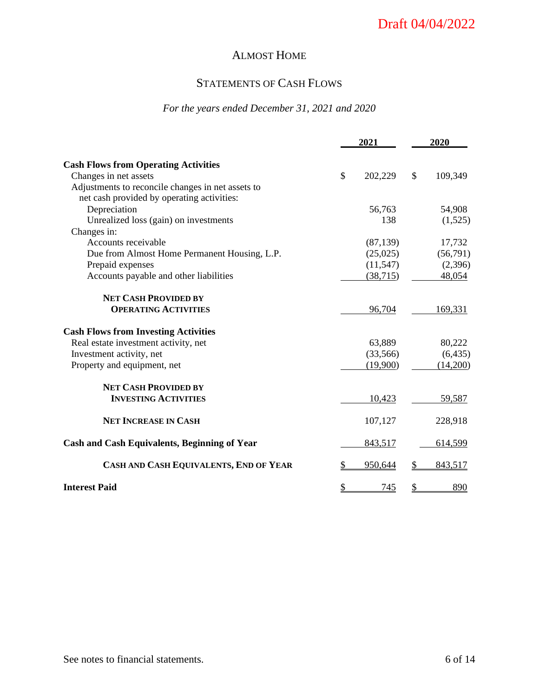# Draft 04/04/2022

# ALMOST HOME

# STATEMENTS OF CASH FLOWS

# *For the years ended December 31, 2021 and 2020*

|                                                     | 2021          | 2020 |          |  |
|-----------------------------------------------------|---------------|------|----------|--|
| <b>Cash Flows from Operating Activities</b>         |               |      |          |  |
| Changes in net assets                               | \$<br>202,229 | \$   | 109,349  |  |
| Adjustments to reconcile changes in net assets to   |               |      |          |  |
| net cash provided by operating activities:          |               |      |          |  |
| Depreciation                                        | 56,763        |      | 54,908   |  |
| Unrealized loss (gain) on investments               | 138           |      | (1,525)  |  |
| Changes in:                                         |               |      |          |  |
| Accounts receivable                                 | (87, 139)     |      | 17,732   |  |
| Due from Almost Home Permanent Housing, L.P.        | (25,025)      |      | (56,791) |  |
| Prepaid expenses                                    | (11, 547)     |      | (2,396)  |  |
| Accounts payable and other liabilities              | (38, 715)     |      | 48,054   |  |
| <b>NET CASH PROVIDED BY</b>                         |               |      |          |  |
| <b>OPERATING ACTIVITIES</b>                         | 96,704        |      | 169,331  |  |
| <b>Cash Flows from Investing Activities</b>         |               |      |          |  |
| Real estate investment activity, net                | 63,889        |      | 80,222   |  |
| Investment activity, net                            | (33, 566)     |      | (6, 435) |  |
| Property and equipment, net                         | (19,900)      |      | (14,200) |  |
| <b>NET CASH PROVIDED BY</b>                         |               |      |          |  |
| <b>INVESTING ACTIVITIES</b>                         | 10,423        |      | 59,587   |  |
| <b>NET INCREASE IN CASH</b>                         | 107,127       |      | 228,918  |  |
| <b>Cash and Cash Equivalents, Beginning of Year</b> | 843,517       |      | 614,599  |  |
| CASH AND CASH EQUIVALENTS, END OF YEAR              | 950,644       | \$   | 843,517  |  |
| <b>Interest Paid</b>                                | \$<br>745     | \$   | 890      |  |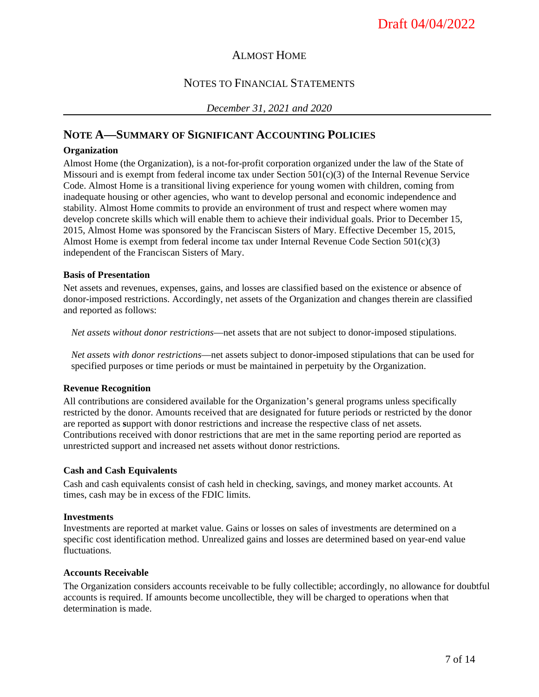### NOTES TO FINANCIAL STATEMENTS

*December 31, 2021 and 2020*

### **NOTE A—SUMMARY OF SIGNIFICANT ACCOUNTING POLICIES**

#### **Organization**

Almost Home (the Organization), is a not-for-profit corporation organized under the law of the State of Missouri and is exempt from federal income tax under Section  $501(c)(3)$  of the Internal Revenue Service Code. Almost Home is a transitional living experience for young women with children, coming from inadequate housing or other agencies, who want to develop personal and economic independence and stability. Almost Home commits to provide an environment of trust and respect where women may develop concrete skills which will enable them to achieve their individual goals. Prior to December 15, 2015, Almost Home was sponsored by the Franciscan Sisters of Mary. Effective December 15, 2015, Almost Home is exempt from federal income tax under Internal Revenue Code Section 501(c)(3) independent of the Franciscan Sisters of Mary.

#### **Basis of Presentation**

Net assets and revenues, expenses, gains, and losses are classified based on the existence or absence of donor-imposed restrictions. Accordingly, net assets of the Organization and changes therein are classified and reported as follows:

*Net assets without donor restrictions*—net assets that are not subject to donor-imposed stipulations.

*Net assets with donor restrictions*—net assets subject to donor-imposed stipulations that can be used for specified purposes or time periods or must be maintained in perpetuity by the Organization.

#### **Revenue Recognition**

All contributions are considered available for the Organization's general programs unless specifically restricted by the donor. Amounts received that are designated for future periods or restricted by the donor are reported as **s**upport with donor restrictions and increase the respective class of net assets. Contributions received with donor restrictions that are met in the same reporting period are reported as unrestricted support and increased net assets without donor restrictions.

#### **Cash and Cash Equivalents**

Cash and cash equivalents consist of cash held in checking, savings, and money market accounts. At times, cash may be in excess of the FDIC limits.

#### **Investments**

Investments are reported at market value. Gains or losses on sales of investments are determined on a specific cost identification method. Unrealized gains and losses are determined based on year-end value fluctuations.

#### **Accounts Receivable**

The Organization considers accounts receivable to be fully collectible; accordingly, no allowance for doubtful accounts is required. If amounts become uncollectible, they will be charged to operations when that determination is made.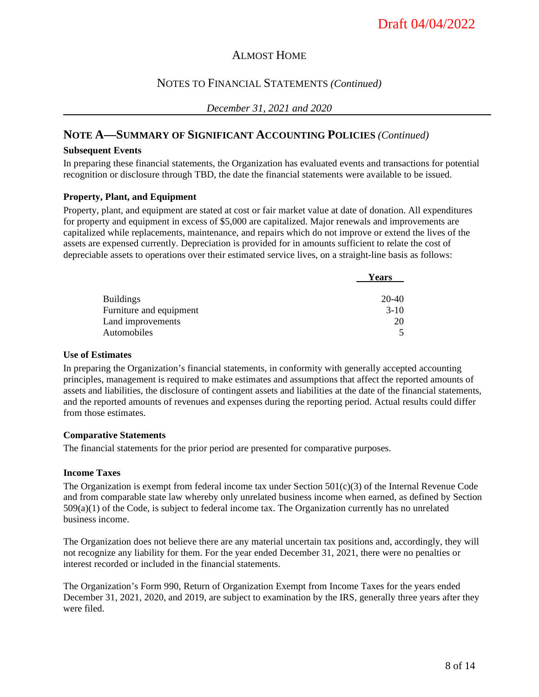### NOTES TO FINANCIAL STATEMENTS *(Continued)*

*December 31, 2021 and 2020*

# **NOTE A—SUMMARY OF SIGNIFICANT ACCOUNTING POLICIES** *(Continued)*

#### **Subsequent Events**

In preparing these financial statements, the Organization has evaluated events and transactions for potential recognition or disclosure through TBD, the date the financial statements were available to be issued.

#### **Property, Plant, and Equipment**

Property, plant, and equipment are stated at cost or fair market value at date of donation. All expenditures for property and equipment in excess of \$5,000 are capitalized. Major renewals and improvements are capitalized while replacements, maintenance, and repairs which do not improve or extend the lives of the assets are expensed currently. Depreciation is provided for in amounts sufficient to relate the cost of depreciable assets to operations over their estimated service lives, on a straight-line basis as follows:

|                         | Years   |
|-------------------------|---------|
| <b>Buildings</b>        | $20-40$ |
| Furniture and equipment | $3-10$  |
| Land improvements       | 20      |
| Automobiles             |         |

#### **Use of Estimates**

In preparing the Organization's financial statements, in conformity with generally accepted accounting principles, management is required to make estimates and assumptions that affect the reported amounts of assets and liabilities, the disclosure of contingent assets and liabilities at the date of the financial statements, and the reported amounts of revenues and expenses during the reporting period. Actual results could differ from those estimates.

#### **Comparative Statements**

The financial statements for the prior period are presented for comparative purposes.

#### **Income Taxes**

The Organization is exempt from federal income tax under Section  $501(c)(3)$  of the Internal Revenue Code and from comparable state law whereby only unrelated business income when earned, as defined by Section 509(a)(1) of the Code, is subject to federal income tax. The Organization currently has no unrelated business income.

The Organization does not believe there are any material uncertain tax positions and, accordingly, they will not recognize any liability for them. For the year ended December 31, 2021, there were no penalties or interest recorded or included in the financial statements.

The Organization's Form 990, Return of Organization Exempt from Income Taxes for the years ended December 31, 2021, 2020, and 2019, are subject to examination by the IRS, generally three years after they were filed.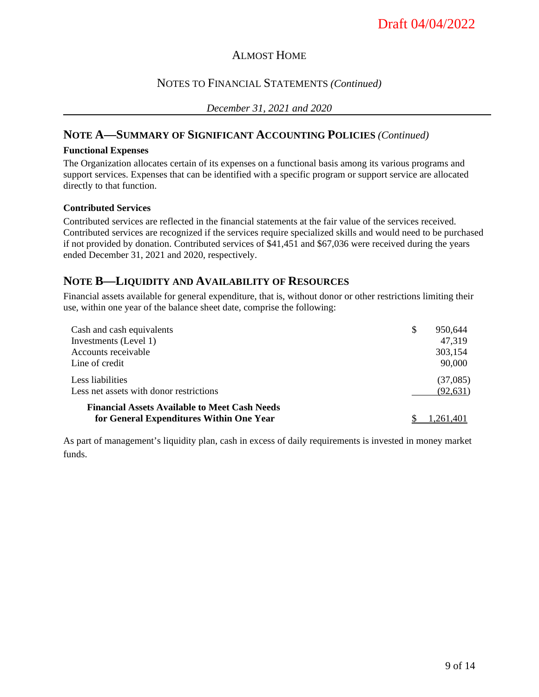### NOTES TO FINANCIAL STATEMENTS *(Continued)*

*December 31, 2021 and 2020*

# **NOTE A—SUMMARY OF SIGNIFICANT ACCOUNTING POLICIES** *(Continued)*

#### **Functional Expenses**

The Organization allocates certain of its expenses on a functional basis among its various programs and support services. Expenses that can be identified with a specific program or support service are allocated directly to that function.

#### **Contributed Services**

Contributed services are reflected in the financial statements at the fair value of the services received. Contributed services are recognized if the services require specialized skills and would need to be purchased if not provided by donation. Contributed services of \$41,451 and \$67,036 were received during the years ended December 31, 2021 and 2020, respectively.

### **NOTE B—LIQUIDITY AND AVAILABILITY OF RESOURCES**

Financial assets available for general expenditure, that is, without donor or other restrictions limiting their use, within one year of the balance sheet date, comprise the following:

| Cash and cash equivalents<br>Investments (Level 1)<br>Accounts receivable<br>Line of credit      | S<br>950.644<br>47,319<br>303,154<br>90,000 |
|--------------------------------------------------------------------------------------------------|---------------------------------------------|
| Less liabilities<br>Less net assets with donor restrictions                                      | (37,085)<br>(92, 631)                       |
| <b>Financial Assets Available to Meet Cash Needs</b><br>for General Expenditures Within One Year | 1,261,401                                   |

As part of management's liquidity plan, cash in excess of daily requirements is invested in money market funds.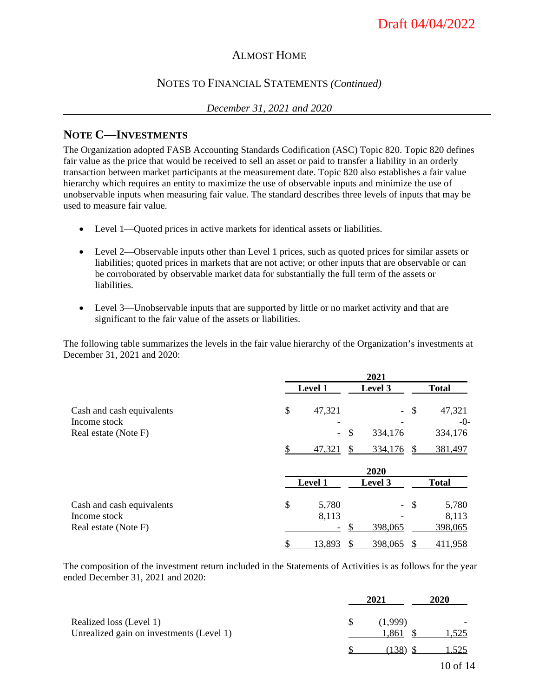### NOTES TO FINANCIAL STATEMENTS *(Continued)*

#### *December 31, 2021 and 2020*

# **NOTE C—INVESTMENTS**

The Organization adopted FASB Accounting Standards Codification (ASC) Topic 820. Topic 820 defines fair value as the price that would be received to sell an asset or paid to transfer a liability in an orderly transaction between market participants at the measurement date. Topic 820 also establishes a fair value hierarchy which requires an entity to maximize the use of observable inputs and minimize the use of unobservable inputs when measuring fair value. The standard describes three levels of inputs that may be used to measure fair value.

- Level 1—Ouoted prices in active markets for identical assets or liabilities.
- Level 2—Observable inputs other than Level 1 prices, such as quoted prices for similar assets or liabilities; quoted prices in markets that are not active; or other inputs that are observable or can be corroborated by observable market data for substantially the full term of the assets or liabilities.
- Level 3—Unobservable inputs that are supported by little or no market activity and that are significant to the fair value of the assets or liabilities.

The following table summarizes the levels in the fair value hierarchy of the Organization's investments at December 31, 2021 and 2020:

|                           | 2021         |                    |                             |  |  |
|---------------------------|--------------|--------------------|-----------------------------|--|--|
|                           | Level 1      | Level 3            | <b>Total</b>                |  |  |
| Cash and cash equivalents | \$<br>47,321 |                    | 47,321<br>\$<br>$\sim$      |  |  |
| Income stock              |              |                    | $-0-$                       |  |  |
| Real estate (Note F)      |              | \$<br>334,176<br>- | 334,176                     |  |  |
|                           | 47,321       | 334,176<br>\$      | 381,497<br>S                |  |  |
|                           |              | 2020               |                             |  |  |
|                           | Level 1      | Level 3            | <b>Total</b>                |  |  |
| Cash and cash equivalents | \$<br>5,780  |                    | \$<br>5,780<br>$\mathbf{r}$ |  |  |
| Income stock              | 8,113        |                    | 8,113                       |  |  |
| Real estate (Note F)      |              | \$<br>398,065<br>- | 398,065                     |  |  |
|                           | 13,893       | 398,065            | 411,958                     |  |  |

The composition of the investment return included in the Statements of Activities is as follows for the year ended December 31, 2021 and 2020:

|                                          | 2021    | 2020  |
|------------------------------------------|---------|-------|
| Realized loss (Level 1)                  | (1.999) |       |
| Unrealized gain on investments (Level 1) | 1.861   | l,525 |
|                                          | 138)    |       |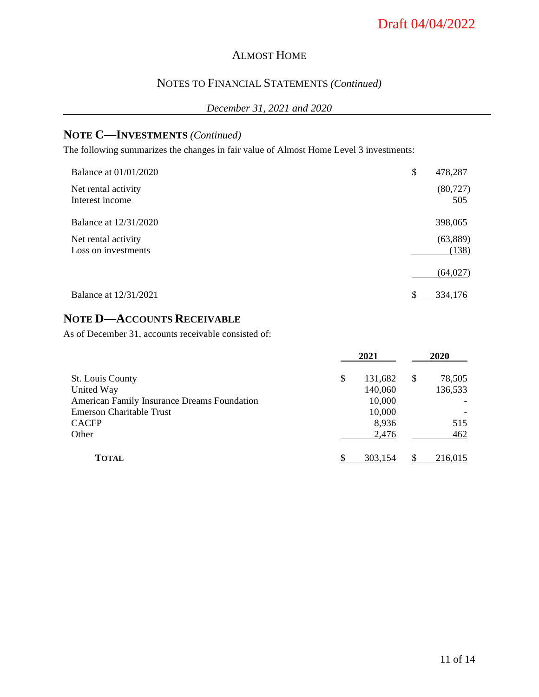### NOTES TO FINANCIAL STATEMENTS *(Continued)*

*December 31, 2021 and 2020*

# **NOTE C—INVESTMENTS** *(Continued)*

The following summarizes the changes in fair value of Almost Home Level 3 investments:

| <b>Balance at 01/01/2020</b>               | \$<br>478,287     |
|--------------------------------------------|-------------------|
| Net rental activity<br>Interest income     | (80, 727)<br>505  |
| <b>Balance at 12/31/2020</b>               | 398,065           |
| Net rental activity<br>Loss on investments | (63,889)<br>(138) |
|                                            | (64, 027)         |
| <b>Balance at 12/31/2021</b>               | 334.176           |

# **NOTE D—ACCOUNTS RECEIVABLE**

As of December 31, accounts receivable consisted of:

|                                             |    |         | 2020 |         |
|---------------------------------------------|----|---------|------|---------|
| <b>St. Louis County</b>                     | \$ | 131,682 | S    | 78,505  |
| United Way                                  |    | 140,060 |      | 136,533 |
| American Family Insurance Dreams Foundation |    | 10,000  |      |         |
| <b>Emerson Charitable Trust</b>             |    | 10,000  |      |         |
| <b>CACFP</b>                                |    | 8,936   |      | 515     |
| Other                                       |    | 2,476   |      | 462     |
| <b>TOTAL</b>                                |    | 303,154 |      | 216,015 |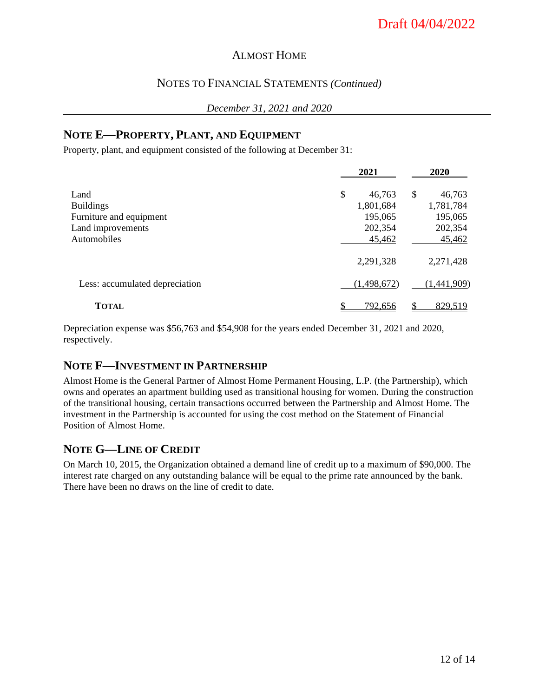# NOTES TO FINANCIAL STATEMENTS *(Continued)*

*December 31, 2021 and 2020*

# **NOTE E—PROPERTY, PLANT, AND EQUIPMENT**

Property, plant, and equipment consisted of the following at December 31:

|                                | 2021          | 2020         |
|--------------------------------|---------------|--------------|
| Land                           | \$<br>46,763  | \$<br>46,763 |
| <b>Buildings</b>               | 1,801,684     | 1,781,784    |
| Furniture and equipment        | 195,065       | 195,065      |
| Land improvements              | 202,354       | 202,354      |
| Automobiles                    | 45,462        | 45,462       |
|                                | 2,291,328     | 2,271,428    |
| Less: accumulated depreciation | (1,498,672)   | (1,441,909)  |
| <b>TOTAL</b>                   | \$<br>792,656 | 829,519      |

Depreciation expense was \$56,763 and \$54,908 for the years ended December 31, 2021 and 2020, respectively.

### **NOTE F—INVESTMENT IN PARTNERSHIP**

Almost Home is the General Partner of Almost Home Permanent Housing, L.P. (the Partnership), which owns and operates an apartment building used as transitional housing for women. During the construction of the transitional housing, certain transactions occurred between the Partnership and Almost Home. The investment in the Partnership is accounted for using the cost method on the Statement of Financial Position of Almost Home.

# **NOTE G—LINE OF CREDIT**

On March 10, 2015, the Organization obtained a demand line of credit up to a maximum of \$90,000. The interest rate charged on any outstanding balance will be equal to the prime rate announced by the bank. There have been no draws on the line of credit to date.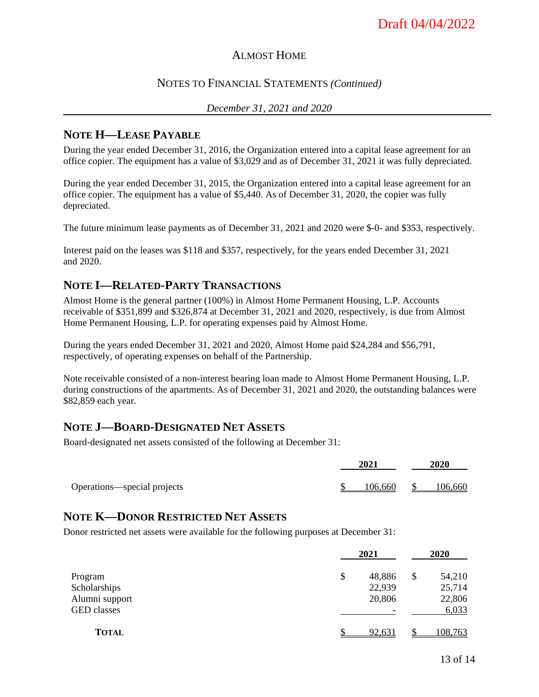### NOTES TO FINANCIAL STATEMENTS *(Continued)*

#### *December 31, 2021 and 2020*

### **NOTE H—LEASE PAYABLE**

During the year ended December 31, 2016, the Organization entered into a capital lease agreement for an office copier. The equipment has a value of \$3,029 and as of December 31, 2021 it was fully depreciated.

During the year ended December 31, 2015, the Organization entered into a capital lease agreement for an office copier. The equipment has a value of \$5,440. As of December 31, 2020, the copier was fully depreciated.

The future minimum lease payments as of December 31, 2021 and 2020 were \$-0- and \$353, respectively.

Interest paid on the leases was \$118 and \$357, respectively, for the years ended December 31, 2021 and 2020.

# **NOTE I—RELATED-PARTY TRANSACTIONS**

Almost Home is the general partner (100%) in Almost Home Permanent Housing, L.P. Accounts receivable of \$351,899 and \$326,874 at December 31, 2021 and 2020, respectively, is due from Almost Home Permanent Housing, L.P. for operating expenses paid by Almost Home.

During the years ended December 31, 2021 and 2020, Almost Home paid \$24,284 and \$56,791, respectively, of operating expenses on behalf of the Partnership.

Note receivable consisted of a non-interest bearing loan made to Almost Home Permanent Housing, L.P. during constructions of the apartments. As of December 31, 2021 and 2020, the outstanding balances were \$82,859 each year.

### **NOTE J—BOARD-DESIGNATED NET ASSETS**

Board-designated net assets consisted of the following at December 31:

|                             | 2021 |            | 2020    |  |
|-----------------------------|------|------------|---------|--|
| Operations—special projects |      | 106,660 \$ | 106,660 |  |

### **NOTE K—DONOR RESTRICTED NET ASSETS**

Donor restricted net assets were available for the following purposes at December 31:

|                | 2021         |   | 2020    |  |
|----------------|--------------|---|---------|--|
| Program        | \$<br>48,886 | S | 54,210  |  |
| Scholarships   | 22,939       |   | 25,714  |  |
| Alumni support | 20,806       |   | 22,806  |  |
| GED classes    |              |   | 6,033   |  |
| <b>TOTAL</b>   | 92,631       |   | 108,763 |  |